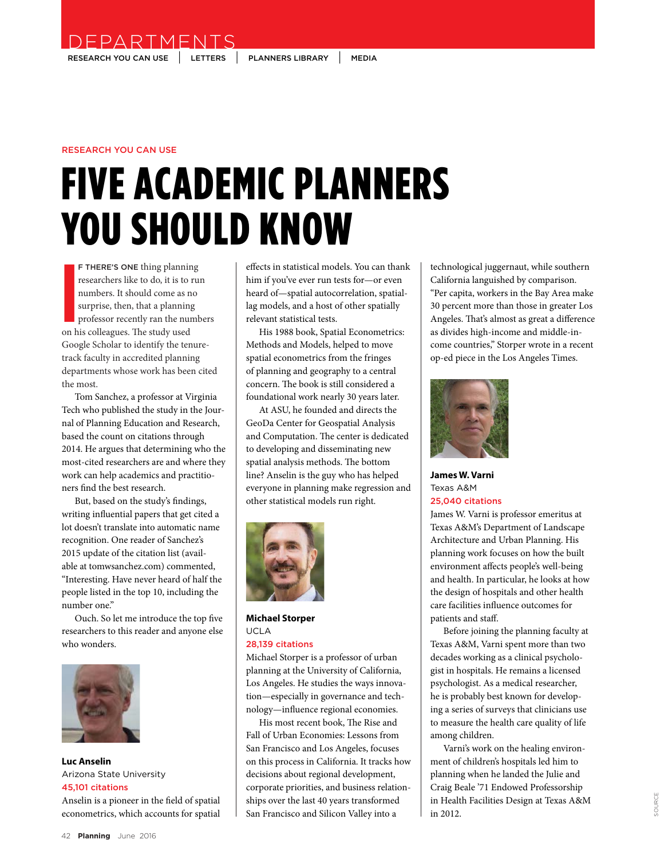RESEARCH YOU CAN USE | LETTERS | PLANNERS LIBRARY | MEDIA

DEPARTMENTS

# RESEARCH YOU CAN USE

# FIVE ACADEMIC PLANNERS YOU SHOULD KNOW

**I**<br> **I**<br> **I**<br> **On**<br> **h** F THERE'S ONE thing planning researchers like to do, it is to run numbers. It should come as no surprise, then, that a planning professor recently ran the numbers on his colleagues. The study used Google Scholar to identify the tenuretrack faculty in accredited planning departments whose work has been cited the most.

Tom Sanchez, a professor at Virginia Tech who published the study in the Journal of Planning Education and Research, based the count on citations through 2014. He argues that determining who the most-cited researchers are and where they work can help academics and practitioners find the best research.

But, based on the study's findings, writing influential papers that get cited a lot doesn't translate into automatic name recognition. One reader of Sanchez's 2015 update of the citation list (available at tomwsanchez.com) commented, "Interesting. Have never heard of half the people listed in the top 10, including the number one."

Ouch. So let me introduce the top five researchers to this reader and anyone else who wonders.



**Luc Anselin**  Arizona State University 45,101 citations Anselin is a pioneer in the field of spatial

econometrics, which accounts for spatial

effects in statistical models. You can thank him if you've ever run tests for—or even heard of—spatial autocorrelation, spatiallag models, and a host of other spatially relevant statistical tests.

His 1988 book, Spatial Econometrics: Methods and Models, helped to move spatial econometrics from the fringes of planning and geography to a central concern. The book is still considered a foundational work nearly 30 years later.

At ASU, he founded and directs the GeoDa Center for Geospatial Analysis and Computation. The center is dedicated to developing and disseminating new spatial analysis methods. The bottom line? Anselin is the guy who has helped everyone in planning make regression and other statistical models run right.



**Michael Storper**  UCLA

### 28,139 citations

Michael Storper is a professor of urban planning at the University of California, Los Angeles. He studies the ways innovation—especially in governance and technology—influence regional economies.

His most recent book, The Rise and Fall of Urban Economies: Lessons from San Francisco and Los Angeles, focuses on this process in California. It tracks how decisions about regional development, corporate priorities, and business relationships over the last 40 years transformed San Francisco and Silicon Valley into a

technological juggernaut, while southern California languished by comparison. "Per capita, workers in the Bay Area make 30 percent more than those in greater Los Angeles. That's almost as great a difference as divides high-income and middle-income countries," Storper wrote in a recent op-ed piece in the Los Angeles Times.



**James W. Varni**  Texas A&M 25,040 citations

James W. Varni is professor emeritus at Texas A&M's Department of Landscape Architecture and Urban Planning. His planning work focuses on how the built environment affects people's well-being and health. In particular, he looks at how the design of hospitals and other health care facilities influence outcomes for patients and staff.

Before joining the planning faculty at Texas A&M, Varni spent more than two decades working as a clinical psychologist in hospitals. He remains a licensed psychologist. As a medical researcher, he is probably best known for developing a series of surveys that clinicians use to measure the health care quality of life among children.

Varni's work on the healing environment of children's hospitals led him to planning when he landed the Julie and Craig Beale '71 Endowed Professorship in Health Facilities Design at Texas A&M in 2012.